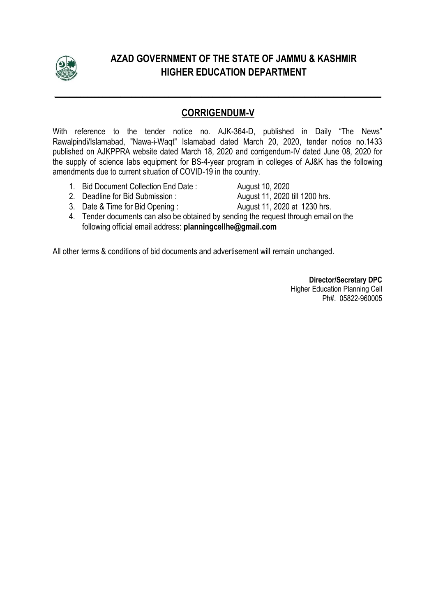

# **AZAD GOVERNMENT OF THE STATE OF JAMMU & KASHMIR HIGHER EDUCATION DEPARTMENT**

### **CORRIGENDUM-V**

**\_\_\_\_\_\_\_\_\_\_\_\_\_\_\_\_\_\_\_\_\_\_\_\_\_\_\_\_\_\_\_\_\_\_\_\_\_\_\_\_\_\_\_\_\_\_\_\_\_\_\_\_\_\_\_\_\_\_\_\_\_\_\_\_\_\_\_\_\_\_\_\_\_\_\_\_\_\_\_\_\_\_\_\_\_\_\_\_\_**

With reference to the tender notice no. AJK-364-D, published in Daily "The News" Rawalpindi/Islamabad, "Nawa-i-Waqt" Islamabad dated March 20, 2020, tender notice no.1433 published on AJKPPRA website dated March 18, 2020 and corrigendum-IV dated June 08, 2020 for the supply of science labs equipment for BS-4-year program in colleges of AJ&K has the following amendments due to current situation of COVID-19 in the country.

- 1. Bid Document Collection End Date : August 10, 2020
- 2. Deadline for Bid Submission : August 11, 2020 till 1200 hrs.
- 3. Date & Time for Bid Opening : August 11, 2020 at 1230 hrs.
- 4. Tender documents can also be obtained by sending the request through email on the following official email address: **planningcellhe@gmail.com**

All other terms & conditions of bid documents and advertisement will remain unchanged.

**Director/Secretary DPC**  Higher Education Planning Cell Ph#. 05822-960005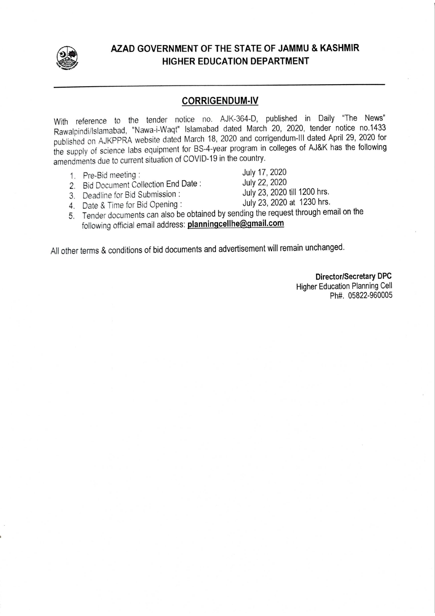

### AZAD GOVERNMENT OF THE STATE OF JAMMU & KASHMIR **HIGHER EDUCATION DEPARTMENT**

#### **CORRIGENDUM-IV**

With reference to the tender notice no. AJK-364-D, published in Daily "The News" Rawalpindi/Islamabad, "Nawa-i-Waqt" Islamabad dated March 20, 2020, tender notice no.1433 published on AJKPPRA website dated March 18, 2020 and corrigendum-III dated April 29, 2020 for the supply of science labs equipment for BS-4-year program in colleges of AJ&K has the following amendments due to current situation of COVID-19 in the country.

- 1. Pre-Bid meeting:
- 2. Bid Document Collection End Date:

July 17, 2020

- July 22, 2020
- 3. Deadline for Bid Submission :

July 23, 2020 till 1200 hrs. July 23, 2020 at 1230 hrs.

- 4. Date & Time for Bid Opening:
- 5. Tender documents can also be obtained by sending the request through email on the following official email address: planningcellhe@gmail.com

All other terms & conditions of bid documents and advertisement will remain unchanged.

**Higher Education Planning Cell** Ph#. 05822-960005

**Director/Secretary DPC**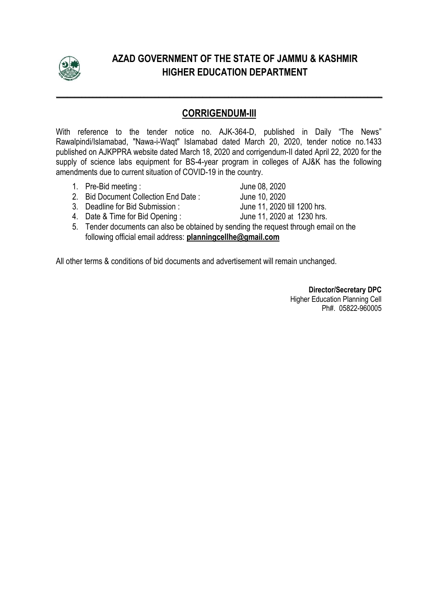

# **AZAD GOVERNMENT OF THE STATE OF JAMMU & KASHMIR HIGHER EDUCATION DEPARTMENT**

### **CORRIGENDUM-III**

**\_\_\_\_\_\_\_\_\_\_\_\_\_\_\_\_\_\_\_\_\_\_\_\_\_\_\_\_\_\_\_\_\_\_\_\_\_\_\_\_\_\_\_\_\_\_\_\_\_\_\_\_\_\_\_\_\_\_\_\_\_\_\_\_\_\_\_\_\_\_\_\_\_\_\_\_\_\_\_\_\_\_\_\_\_\_\_\_\_**

With reference to the tender notice no. AJK-364-D, published in Daily "The News" Rawalpindi/Islamabad, "Nawa-i-Waqt" Islamabad dated March 20, 2020, tender notice no.1433 published on AJKPPRA website dated March 18, 2020 and corrigendum-II dated April 22, 2020 for the supply of science labs equipment for BS-4-year program in colleges of AJ&K has the following amendments due to current situation of COVID-19 in the country.

- 
- 1. Pre-Bid meeting :<br>
2. Bid Document Collection End Date : June 10. 2020 2. Bid Document Collection End Date : June 10, 2020<br>3. Deadline for Bid Submission : June 11, 2020 till 1200 hrs.
- 3. Deadline for Bid Submission :

4. Date & Time for Bid Opening : June 11, 2020 at 1230 hrs.

5. Tender documents can also be obtained by sending the request through email on the following official email address: **planningcellhe@gmail.com** 

All other terms & conditions of bid documents and advertisement will remain unchanged.

**Director/Secretary DPC**  Higher Education Planning Cell Ph#. 05822-960005